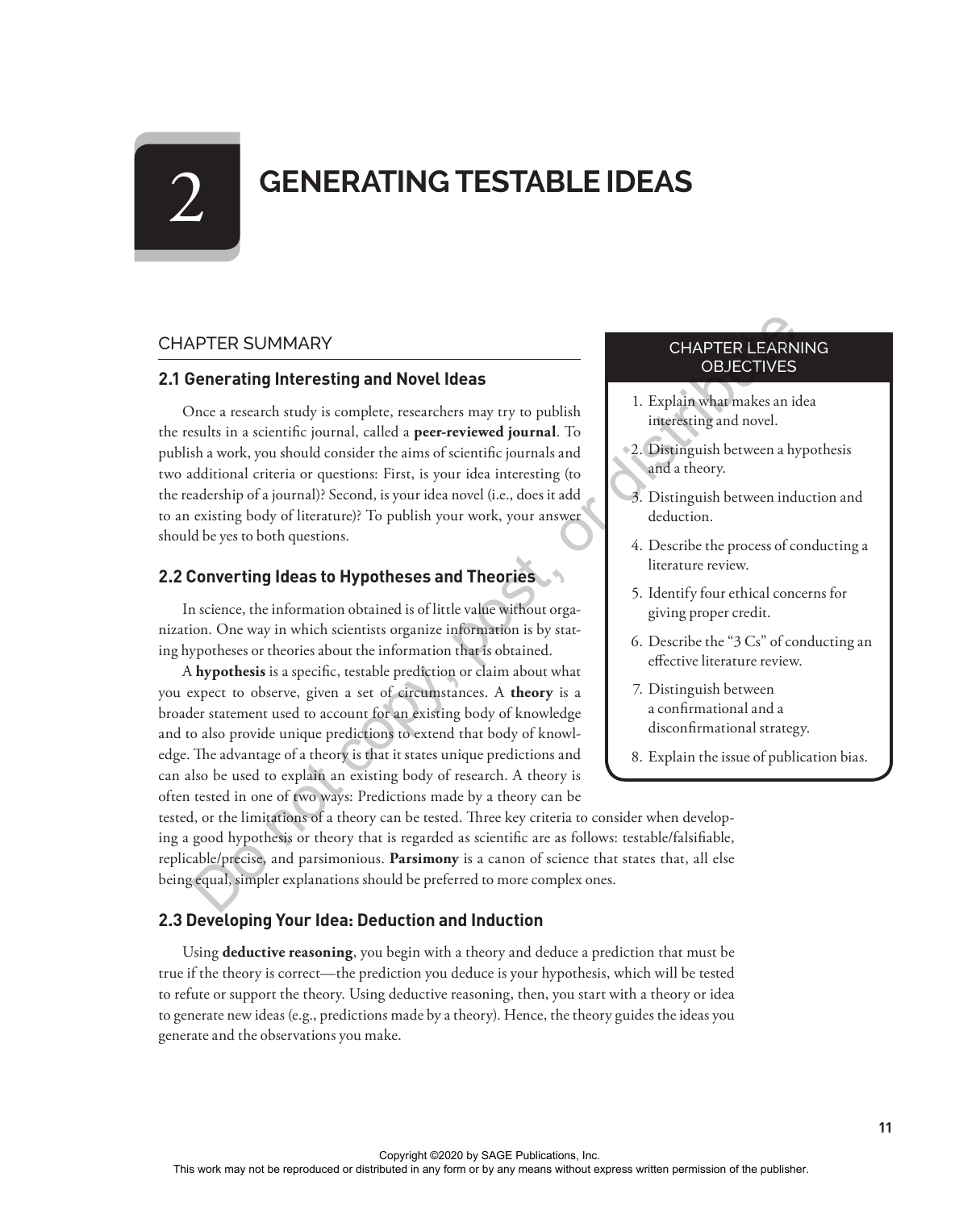# **GENERATING TESTABLE IDEAS** 2

# CHAPTER SUMMARY

## **2.1 Generating Interesting and Novel Ideas**

Once a research study is complete, researchers may try to publish the results in a scientific journal, called a **peer-reviewed journal**. To publish a work, you should consider the aims of scientific journals and two additional criteria or questions: First, is your idea interesting (to the readership of a journal)? Second, is your idea novel (i.e., does it add to an existing body of literature)? To publish your work, your answer should be yes to both questions. EXAMINY CHAPTER SUMMARY CHAPTER LEARNIN<br>
Senerating interesting and Novel Ideas CBJECTIVES<br>
Doce a research study is complete, researchers may try to publish<br>
and sasuls in a scientific journal). Calced a peer-reviewed jou

## **2.2 Converting Ideas to Hypotheses and Theories**

In science, the information obtained is of little value without organization. One way in which scientists organize information is by stating hypotheses or theories about the information that is obtained.

A **hypothesis** is a specific, testable prediction or claim about what you expect to observe, given a set of circumstances. A **theory** is a broader statement used to account for an existing body of knowledge and to also provide unique predictions to extend that body of knowledge. The advantage of a theory is that it states unique predictions and can also be used to explain an existing body of research. A theory is often tested in one of two ways: Predictions made by a theory can be

# CHAPTER LEARNING **OBJECTIVES**

- 1. Explain what makes an idea interesting and novel.
- 2. Distinguish between a hypothesis and a theory.
- 3. Distinguish between induction and deduction.
- 4. Describe the process of conducting a literature review.
- 5. Identify four ethical concerns for giving proper credit.
- 6. Describe the "3 Cs" of conducting an effective literature review.
- 7. Distinguish between a confirmational and a disconfirmational strategy.
- 8. Explain the issue of publication bias.

tested, or the limitations of a theory can be tested. Three key criteria to consider when developing a good hypothesis or theory that is regarded as scientific are as follows: testable/falsifiable, replicable/precise, and parsimonious. **Parsimony** is a canon of science that states that, all else being equal, simpler explanations should be preferred to more complex ones.

## **2.3 Developing Your Idea: Deduction and Induction**

Using **deductive reasoning**, you begin with a theory and deduce a prediction that must be true if the theory is correct—the prediction you deduce is your hypothesis, which will be tested to refute or support the theory. Using deductive reasoning, then, you start with a theory or idea to generate new ideas (e.g., predictions made by a theory). Hence, the theory guides the ideas you generate and the observations you make.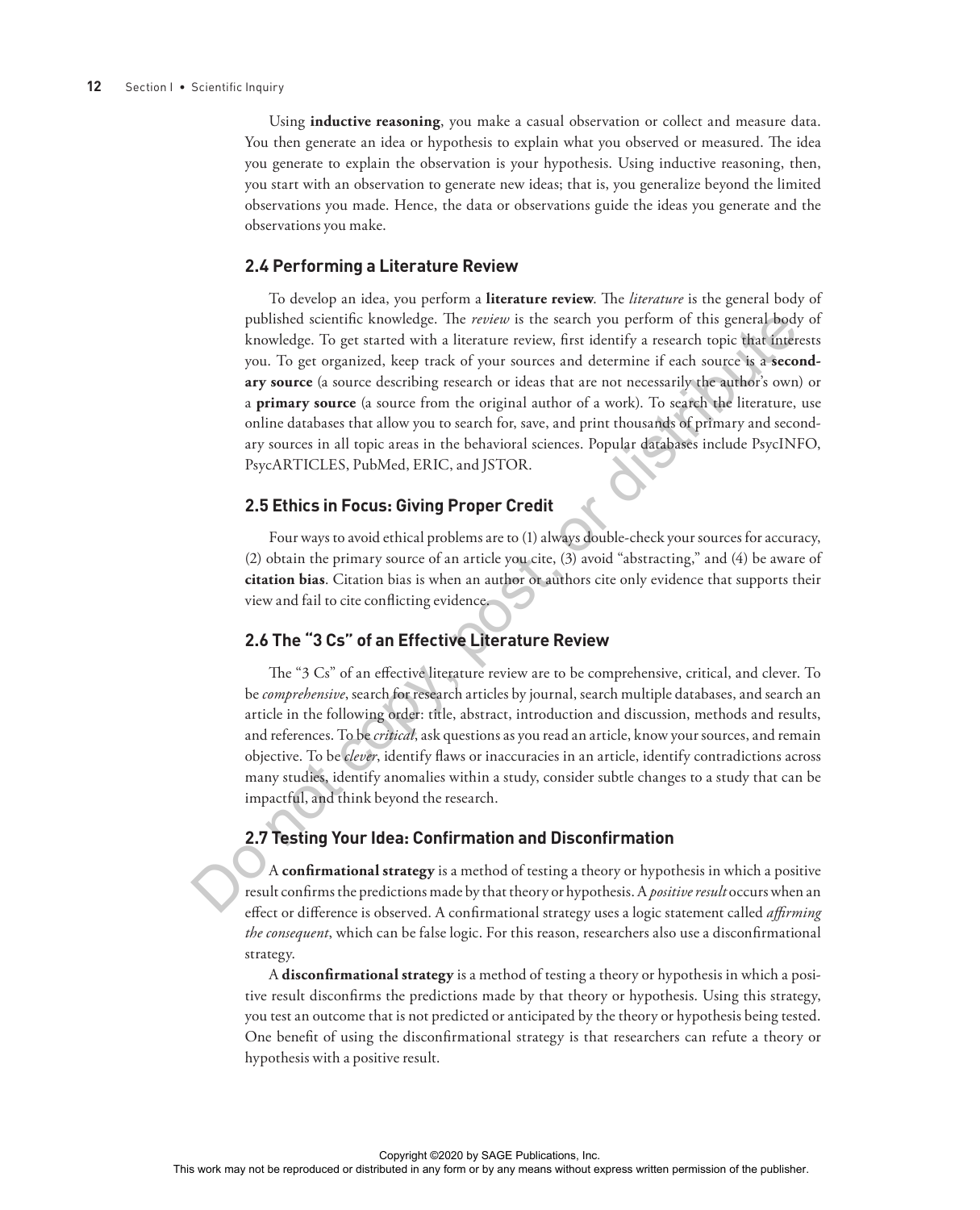#### 12 Section I · Scientific Inquiry

Using **inductive reasoning**, you make a casual observation or collect and measure data. You then generate an idea or hypothesis to explain what you observed or measured. The idea you generate to explain the observation is your hypothesis. Using inductive reasoning, then, you start with an observation to generate new ideas; that is, you generalize beyond the limited observations you made. Hence, the data or observations guide the ideas you generate and the observations you make.

#### **2.4 Performing a Literature Review**

To develop an idea, you perform a **literature review**. The *literature* is the general body of published scientific knowledge. The *review* is the search you perform of this general body of knowledge. To get started with a literature review, first identify a research topic that interests you. To get organized, keep track of your sources and determine if each source is a **secondary source** (a source describing research or ideas that are not necessarily the author's own) or a **primary source** (a source from the original author of a work). To search the literature, use online databases that allow you to search for, save, and print thousands of primary and secondary sources in all topic areas in the behavioral sciences. Popular databases include PsycINFO, PsycARTICLES, PubMed, ERIC, and JSTOR. published scientific knowledge. The *review* is the scarch you perform of this general body<br>
knowledge. To get started with a literature review, first identify a research optic that figures<br>
you. To get organized, keep tr

#### **2.5 Ethics in Focus: Giving Proper Credit**

Four ways to avoid ethical problems are to (1) always double-check your sources for accuracy, (2) obtain the primary source of an article you cite, (3) avoid "abstracting," and (4) be aware of **citation bias**. Citation bias is when an author or authors cite only evidence that supports their view and fail to cite conflicting evidence.

#### **2.6 The "3 Cs" of an Effective Literature Review**

The "3 Cs" of an effective literature review are to be comprehensive, critical, and clever. To be *comprehensive*, search for research articles by journal, search multiple databases, and search an article in the following order: title, abstract, introduction and discussion, methods and results, and references. To be *critical*, ask questions as you read an article, know your sources, and remain objective. To be *clever*, identify flaws or inaccuracies in an article, identify contradictions across many studies, identify anomalies within a study, consider subtle changes to a study that can be impactful, and think beyond the research.

## **2.7 Testing Your Idea: Confirmation and Disconfirmation**

A **confirmational strategy** is a method of testing a theory or hypothesis in which a positive result confirms the predictions made by that theory or hypothesis. A *positive result* occurs when an effect or difference is observed. A confirmational strategy uses a logic statement called *affirming the consequent*, which can be false logic. For this reason, researchers also use a disconfirmational strategy.

A **disconfirmational strategy** is a method of testing a theory or hypothesis in which a positive result disconfirms the predictions made by that theory or hypothesis. Using this strategy, you test an outcome that is not predicted or anticipated by the theory or hypothesis being tested. One benefit of using the disconfirmational strategy is that researchers can refute a theory or hypothesis with a positive result.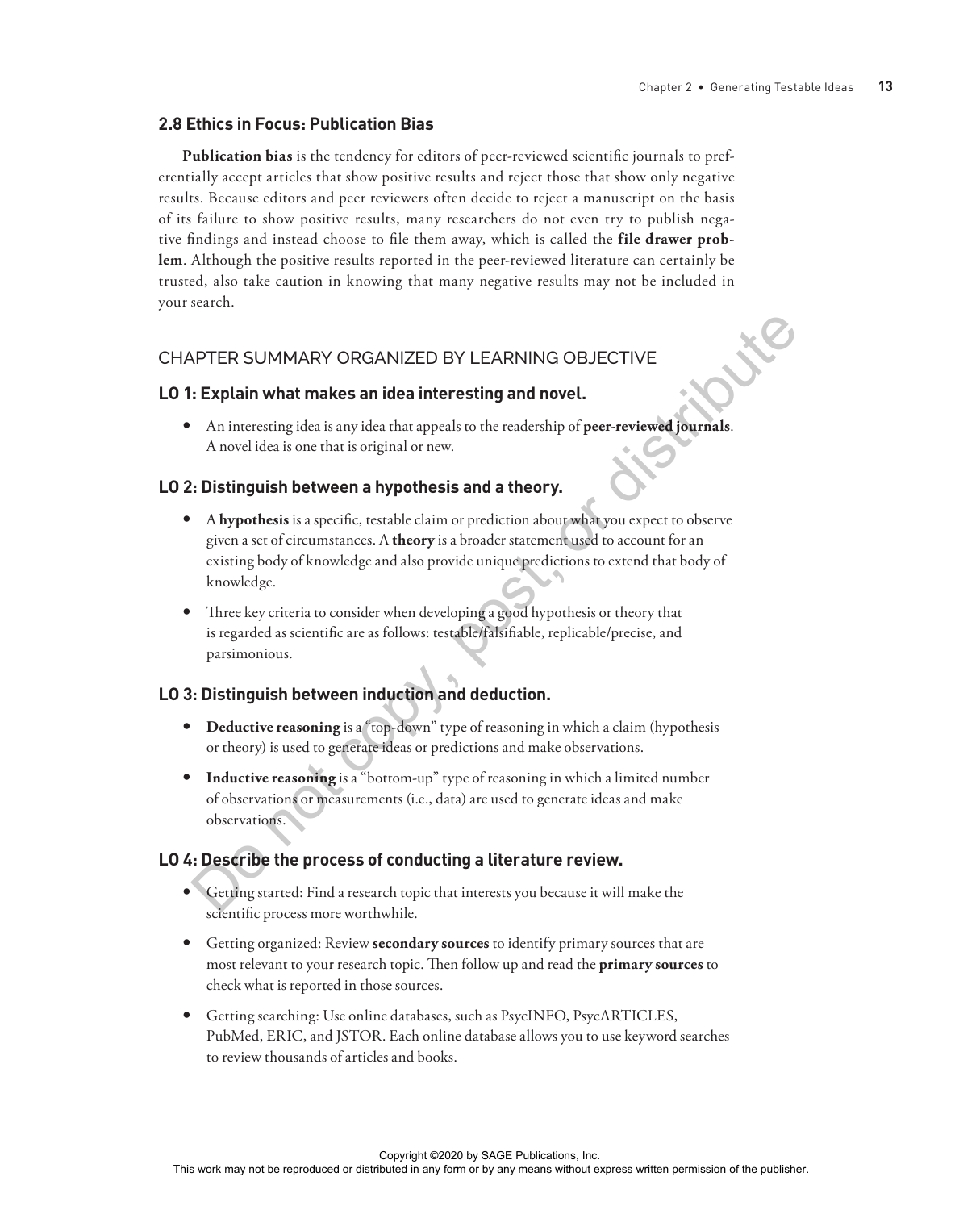#### **2.8 Ethics in Focus: Publication Bias**

**Publication bias** is the tendency for editors of peer-reviewed scientific journals to preferentially accept articles that show positive results and reject those that show only negative results. Because editors and peer reviewers often decide to reject a manuscript on the basis of its failure to show positive results, many researchers do not even try to publish negative findings and instead choose to file them away, which is called the **file drawer problem**. Although the positive results reported in the peer-reviewed literature can certainly be trusted, also take caution in knowing that many negative results may not be included in your search.

## CHAPTER SUMMARY ORGANIZED BY LEARNING OBJECTIVE

#### **LO 1: Explain what makes an idea interesting and novel.**

 An interesting idea is any idea that appeals to the readership of **peer-reviewed journals**. A novel idea is one that is original or new.

#### **LO 2: Distinguish between a hypothesis and a theory.**

- A **hypothesis** is a specific, testable claim or prediction about what you expect to observe given a set of circumstances. A **theory** is a broader statement used to account for an existing body of knowledge and also provide unique predictions to extend that body of knowledge. **EXERIMING ORGANIZED BY LEARNING OBJECTIVE**<br> **EXPlain what makes an idea interesting and novel.**<br>
An interesting idea is any idea that appeals to the readership of peer-reviewed journals.<br>
A novel idea is one that is origi
- Three key criteria to consider when developing a good hypothesis or theory that is regarded as scientific are as follows: testable/falsifiable, replicable/precise, and parsimonious.

## **LO 3: Distinguish between induction and deduction.**

- **Deductive reasoning** is a "top-down" type of reasoning in which a claim (hypothesis or theory) is used to generate ideas or predictions and make observations.
- **Inductive reasoning** is a "bottom-up" type of reasoning in which a limited number of observations or measurements (i.e., data) are used to generate ideas and make observations.

#### **LO 4: Describe the process of conducting a literature review.**

- Getting started: Find a research topic that interests you because it will make the scientific process more worthwhile.
- Getting organized: Review **secondary sources** to identify primary sources that are most relevant to your research topic. Then follow up and read the **primary sources** to check what is reported in those sources.
- Getting searching: Use online databases, such as PsycINFO, PsycARTICLES, PubMed, ERIC, and JSTOR. Each online database allows you to use keyword searches to review thousands of articles and books.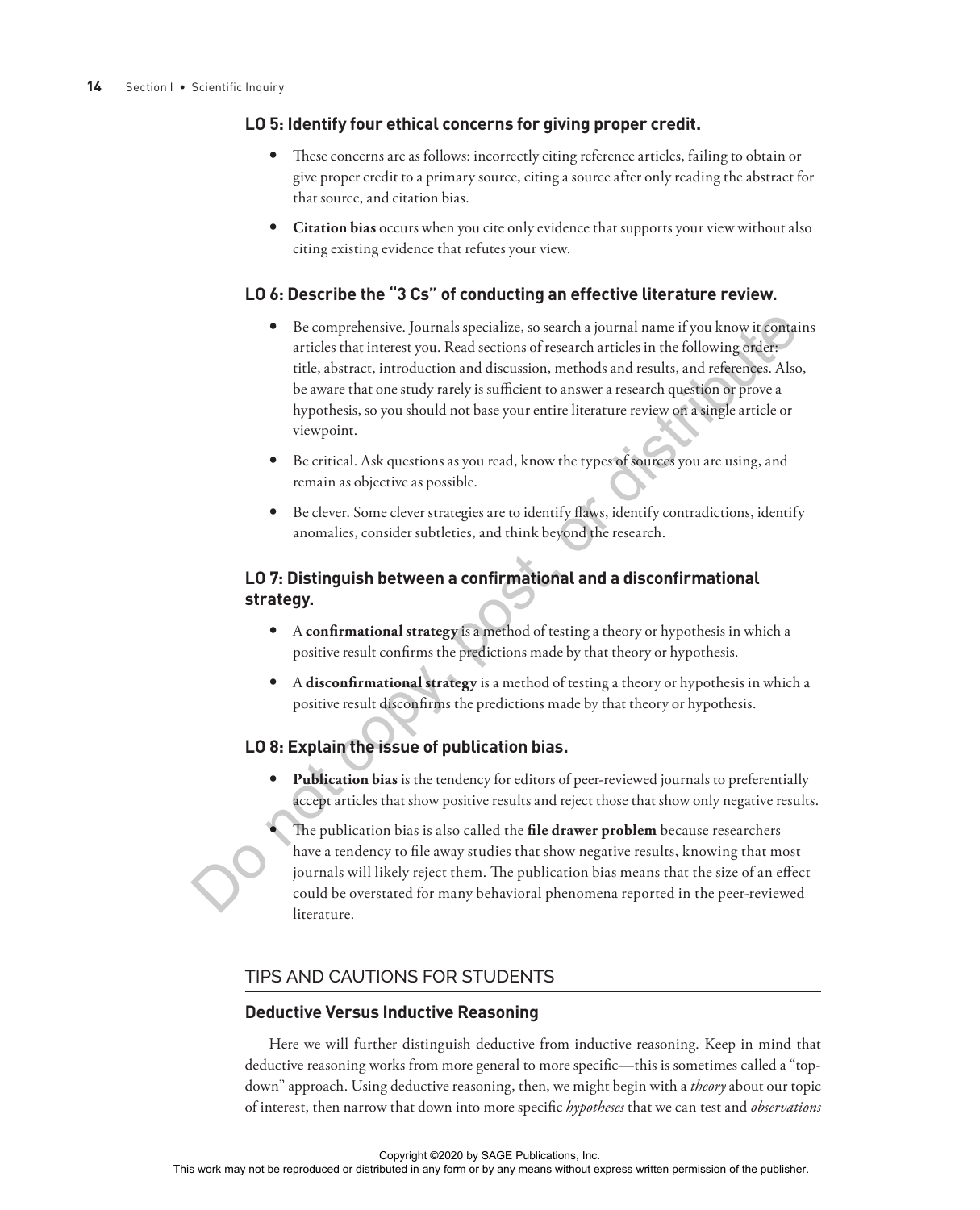## **LO 5: Identify four ethical concerns for giving proper credit.**

- These concerns are as follows: incorrectly citing reference articles, failing to obtain or give proper credit to a primary source, citing a source after only reading the abstract for that source, and citation bias.
- **Citation bias** occurs when you cite only evidence that supports your view without also citing existing evidence that refutes your view.

## **LO 6: Describe the "3 Cs" of conducting an effective literature review.**

- Be comprehensive. Journals specialize, so search a journal name if you know it contains articles that interest you. Read sections of research articles in the following order: title, abstract, introduction and discussion, methods and results, and references. Also, be aware that one study rarely is sufficient to answer a research question or prove a hypothesis, so you should not base your entire literature review on a single article or viewpoint. Be comprehensive. Journals specialize, so search a journal name if you know it gottains<br>
articles that interest you. Read sections of research articles in the following order<br>
itele, abstract, introduction and discussion,
	- Be critical. Ask questions as you read, know the types of sources you are using, and remain as objective as possible.
	- Be clever. Some clever strategies are to identify flaws, identify contradictions, identify anomalies, consider subtleties, and think beyond the research.

# **LO 7: Distinguish between a confirmational and a disconfirmational strategy.**

- A **confirmational strategy** is a method of testing a theory or hypothesis in which a positive result confirms the predictions made by that theory or hypothesis.
- A **disconfirmational strategy** is a method of testing a theory or hypothesis in which a positive result disconfirms the predictions made by that theory or hypothesis.

## **LO 8: Explain the issue of publication bias.**

 **Publication bias** is the tendency for editors of peer-reviewed journals to preferentially accept articles that show positive results and reject those that show only negative results.

 The publication bias is also called the **file drawer problem** because researchers have a tendency to file away studies that show negative results, knowing that most journals will likely reject them. The publication bias means that the size of an effect could be overstated for many behavioral phenomena reported in the peer-reviewed literature.

## TIPS AND CAUTIONS FOR STUDENTS

## **Deductive Versus Inductive Reasoning**

Here we will further distinguish deductive from inductive reasoning. Keep in mind that deductive reasoning works from more general to more specific—this is sometimes called a "topdown" approach. Using deductive reasoning, then, we might begin with a *theory* about our topic of interest, then narrow that down into more specific *hypotheses* that we can test and *observations*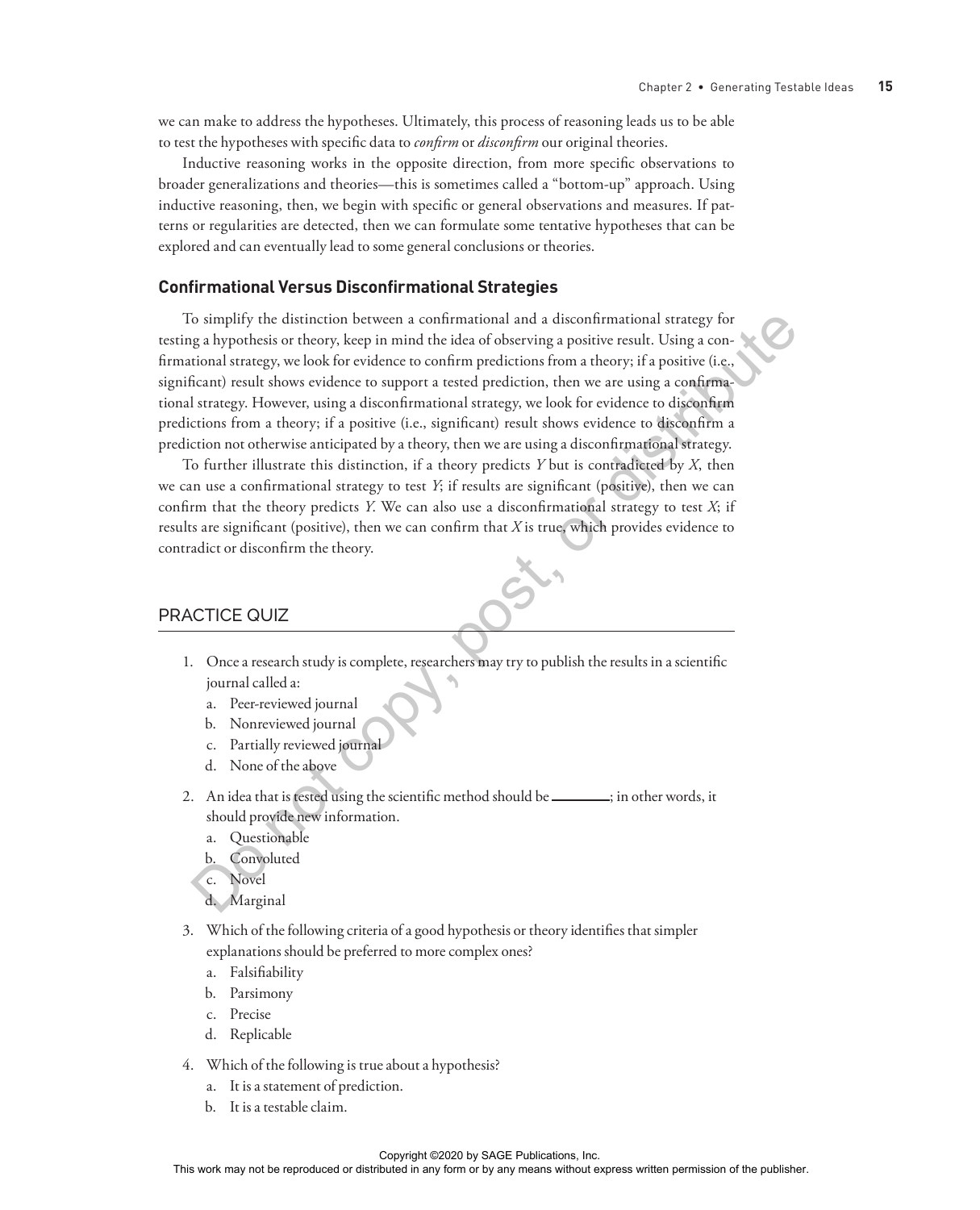we can make to address the hypotheses. Ultimately, this process of reasoning leads us to be able to test the hypotheses with specific data to *confirm* or *disconfirm* our original theories.

Inductive reasoning works in the opposite direction, from more specific observations to broader generalizations and theories—this is sometimes called a "bottom-up" approach. Using inductive reasoning, then, we begin with specific or general observations and measures. If patterns or regularities are detected, then we can formulate some tentative hypotheses that can be explored and can eventually lead to some general conclusions or theories.

#### **Confirmational Versus Disconfirmational Strategies**

To simplify the distinction between a confirmational and a disconfirmational strategy for testing a hypothesis or theory, keep in mind the idea of observing a positive result. Using a confirmational strategy, we look for evidence to confirm predictions from a theory; if a positive (i.e., significant) result shows evidence to support a tested prediction, then we are using a confirmational strategy. However, using a disconfirmational strategy, we look for evidence to disconfirm predictions from a theory; if a positive (i.e., significant) result shows evidence to disconfirm a prediction not otherwise anticipated by a theory, then we are using a disconfirmational strategy. o simplify the distinction between a confirmational and a disconfirmational strategy for<br>equilibute distribute of the value of observing a positive result. Using a con-<br>
tional strategy, we look for evidence to supprane re

To further illustrate this distinction, if a theory predicts *Y* but is contradicted by *X*, then we can use a confirmational strategy to test *Y*; if results are significant (positive), then we can confirm that the theory predicts *Y*. We can also use a disconfirmational strategy to test *X*; if results are significant (positive), then we can confirm that *X* is true, which provides evidence to contradict or disconfirm the theory.

#### PRACTICE QUIZ

- 1. Once a research study is complete, researchers may try to publish the results in a scientific journal called a:
	- a. Peer-reviewed journal
	- b. Nonreviewed journal
	- c. Partially reviewed journal
	- d. None of the above
- 2. An idea that is tested using the scientific method should be .................; in other words, it should provide new information.
	- a. Questionable
	- b. Convoluted
	- c. Novel
	- d. Marginal
- 3. Which of the following criteria of a good hypothesis or theory identifies that simpler explanations should be preferred to more complex ones?
	- a. Falsifiability
	- b. Parsimony
	- c. Precise
	- d. Replicable
- 4. Which of the following is true about a hypothesis?
	- a. It is a statement of prediction.
	- b. It is a testable claim.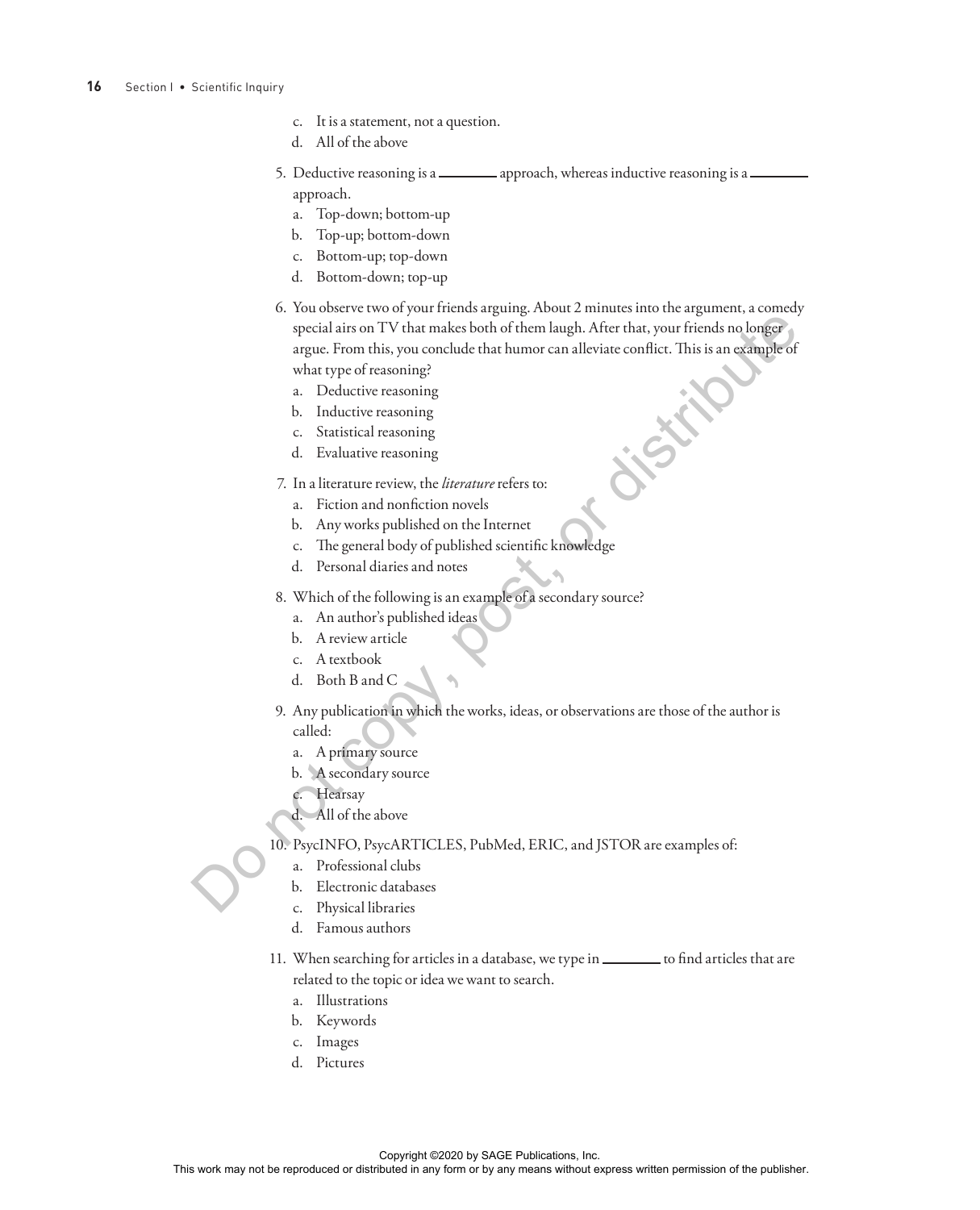- c. It is a statement, not a question.
- d. All of the above
- 5. Deductive reasoning is a **\_\_\_\_\_\_\_** approach, whereas inductive reasoning is a \_ approach.
	- a. Top-down; bottom-up
	- b. Top-up; bottom-down
	- c. Bottom-up; top-down
	- d. Bottom-down; top-up
- 6. You observe two of your friends arguing. About 2 minutes into the argument, a comedy special airs on TV that makes both of them laugh. After that, your friends no longer argue. From this, you conclude that humor can alleviate conflict. This is an example of what type of reasoning? special airs on TV that makes both of them laugh. After that, your friends no longer<br>
argue. From this, you conclude that humor can alleviate conflict. This is an example of<br>
what type of reasoning<br>
a. Deductive reasoning<br>
	- a. Deductive reasoning
	- b. Inductive reasoning
	- c. Statistical reasoning
	- d. Evaluative reasoning
	- 7. In a literature review, the *literature* refers to:
		- a. Fiction and nonfiction novels
		- b. Any works published on the Internet
		- c. The general body of published scientific knowledge
		- d. Personal diaries and notes
	- 8. Which of the following is an example of a secondary source?
		- a. An author's published ideas
		- b. A review article
		- c. A textbook
		- d. Both B and C
	- 9. Any publication in which the works, ideas, or observations are those of the author is called:
		- a. A primary source
		- b. A secondary source
		- c. Hearsay
		- d. All of the above

#### 10. PsycINFO, PsycARTICLES, PubMed, ERIC, and JSTOR are examples of:

- a. Professional clubs
- b. Electronic databases
- c. Physical libraries
- d. Famous authors
- 11. When searching for articles in a database, we type in **\_\_\_\_\_\_** to find articles that are related to the topic or idea we want to search.
	- a. Illustrations
	- b. Keywords
	- c. Images
	- d. Pictures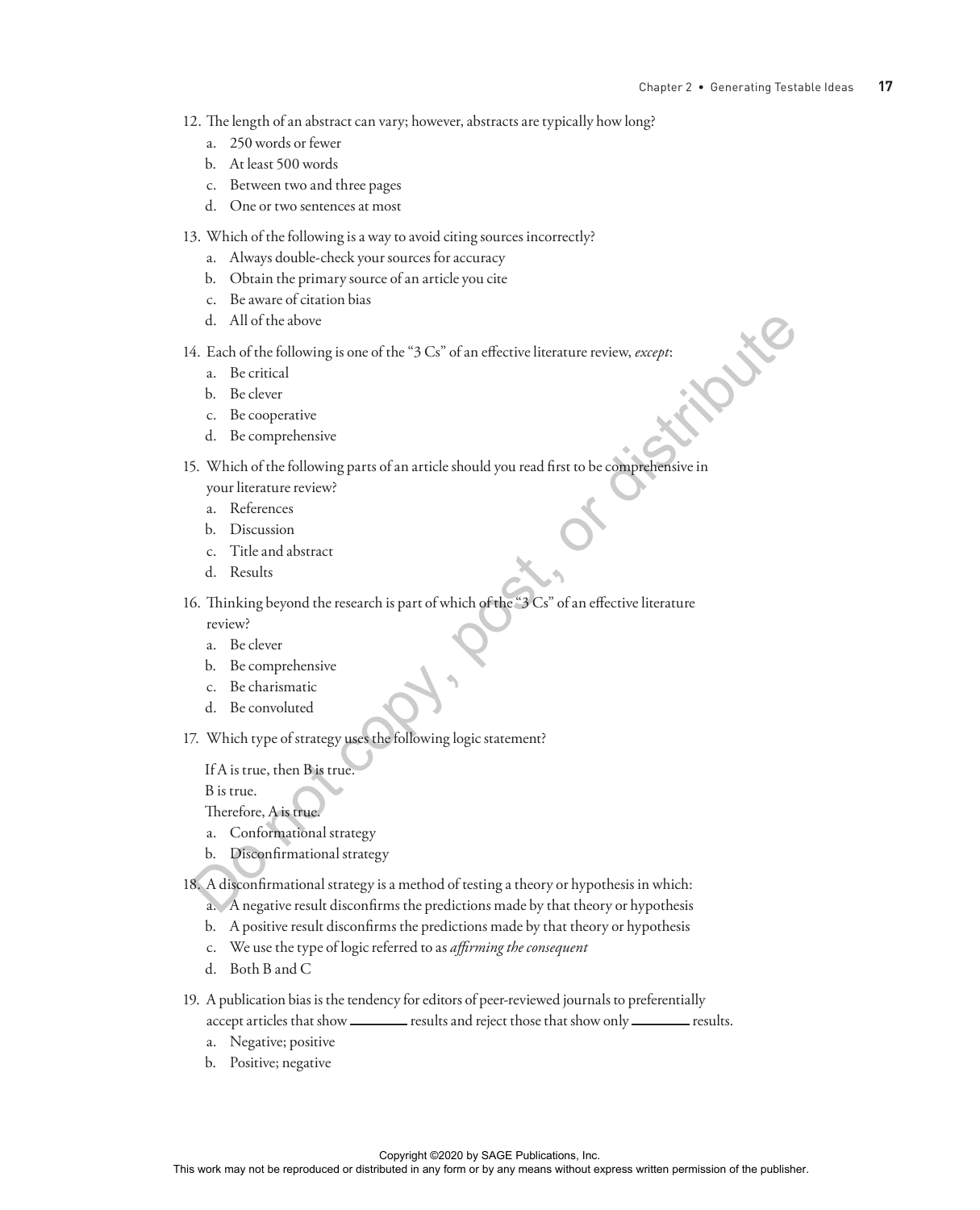- 12. The length of an abstract can vary; however, abstracts are typically how long?
	- a. 250 words or fewer
	- b. At least 500 words
	- c. Between two and three pages
	- d. One or two sentences at most
- 13. Which of the following is a way to avoid citing sources incorrectly?
	- a. Always double-check your sources for accuracy
	- b. Obtain the primary source of an article you cite
	- c. Be aware of citation bias
	- d. All of the above
- 14. Each of the following is one of the "3 Cs" of an effective literature review, *except*:
	- a. Be critical
	- b. Be clever
	- c. Be cooperative
	- d. Be comprehensive
- 15. Which of the following parts of an article should you read first to be comprehensive in your literature review? d. All of the above<br>
4. Als cho free following is one of the "3 Cs" of an effective literature review, except:<br>
2. Be clever<br>
2. Be comprehensive<br>
4. Be comprehensive<br>
4. Be comprehensive<br>
5. Which of the following parts o
	- a. References
	- b. Discussion
	- c. Title and abstract
	- d. Results
- 16. Thinking beyond the research is part of which of the "3 Cs" of an effective literature
	- review?
	- a. Be clever
	- b. Be comprehensive
	- c. Be charismatic
	- d. Be convoluted
- 17. Which type of strategy uses the following logic statement?

If A is true, then B is true.

B is true.

Therefore, A is true.

- a. Conformational strategy
- b. Disconfirmational strategy

18. A disconfirmational strategy is a method of testing a theory or hypothesis in which:

- a. A negative result disconfirms the predictions made by that theory or hypothesis
- b. A positive result disconfirms the predictions made by that theory or hypothesis
- c. We use the type of logic referred to as *affirming the consequent*
- d. Both B and C
- 19. A publication bias is the tendency for editors of peer-reviewed journals to preferentially accept articles that show \_\_\_\_\_\_\_ results and reject those that show only \_\_\_\_\_\_\_ results.
	- a. Negative; positive
	- b. Positive; negative